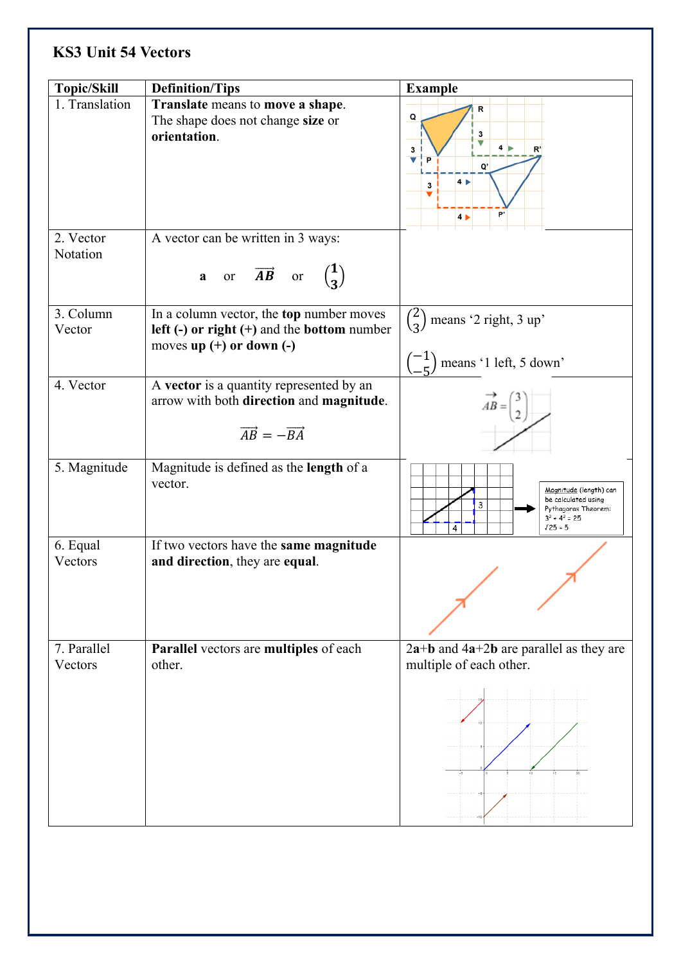## **KS3 Unit 54 Vectors**

| <b>Topic/Skill</b>     | <b>Definition/Tips</b>                                                                                                               | <b>Example</b>                                                                                                                   |
|------------------------|--------------------------------------------------------------------------------------------------------------------------------------|----------------------------------------------------------------------------------------------------------------------------------|
| 1. Translation         | Translate means to move a shape.<br>The shape does not change size or<br>orientation.                                                | R<br>$\mathsf Q$<br>3<br>4 <sub>b</sub><br>3<br>R'<br>v<br>$\mathbf{P}$<br>O'<br>4 <sub>1</sub><br>3<br>b,<br>$4 \triangleright$ |
| 2. Vector<br>Notation  | A vector can be written in 3 ways:<br>a or $\overrightarrow{AB}$ or $\begin{pmatrix} 1 \\ 3 \end{pmatrix}$                           |                                                                                                                                  |
| 3. Column<br>Vector    | In a column vector, the top number moves<br>left $(-)$ or right $(+)$ and the bottom number<br>moves up $(+)$ or down $(-)$          | $\binom{2}{3}$ means '2 right, 3 up'<br>$\begin{pmatrix} -1 \\ 7 \end{pmatrix}$ means '1 left, 5 down'                           |
| 4. Vector              | A vector is a quantity represented by an<br>arrow with both direction and magnitude.<br>$\overrightarrow{AB} = -\overrightarrow{BA}$ | $AB =$                                                                                                                           |
| 5. Magnitude           | Magnitude is defined as the length of a<br>vector.                                                                                   | Magnitude (length) can<br>be calculated using<br>3<br>Pythagoras Theorem:<br>$3^2$ + 4 <sup>2</sup> = 25<br>$125 = 5$<br>4       |
| 6. Equal<br>Vectors    | If two vectors have the same magnitude<br>and direction, they are equal.                                                             |                                                                                                                                  |
| 7. Parallel<br>Vectors | Parallel vectors are multiples of each<br>other.                                                                                     | $2a+b$ and $4a+2b$ are parallel as they are<br>multiple of each other.                                                           |